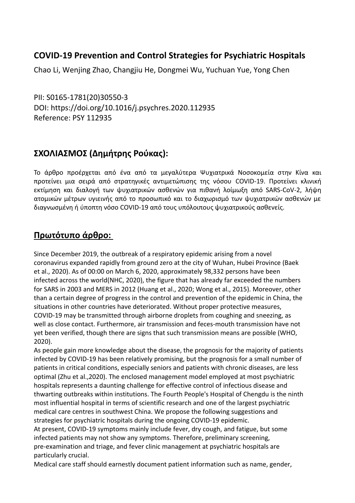## **COVID-19 Prevention and Control Strategies for Psychiatric Hospitals**

Chao Li, Wenjing Zhao, Changjiu He, Dongmei Wu, Yuchuan Yue, Yong Chen

PII: S0165-1781(20)30550-3 DOI: https://doi.org/10.1016/j.psychres.2020.112935 Reference: PSY 112935

## **ΣΧΟΛΙΑΣΜΟΣ (Δημήτρης Ρούκας):**

Το άρθρο προέρχεται από ένα από τα μεγαλύτερα Ψυχιατρικά Νοσοκομεία στην Κίνα και προτείνει μια σειρά από στρατηγικές αντιμετώπισης της νόσου COVID-19. Προτείνει κλινική εκτίμηση και διαλογή των ψυχιατρικών ασθενών για πιθανή λοίμωξη από SARS-CoV-2, λήψη ατομικών μέτρων υγιεινής από το προσωπικό και το διαχωρισμό των ψυχιατρικών ασθενών με διαγνωσμένη ή ύποπτη νόσο COVID-19 από τους υπόλοιπους ψυχιατρικούς ασθενείς.

## **Πρωτότυπο άρθρο:**

Since December 2019, the outbreak of a respiratory epidemic arising from a novel coronavirus expanded rapidly from ground zero at the city of Wuhan, Hubei Province (Baek et al., 2020). As of 00:00 on March 6, 2020, approximately 98,332 persons have been infected across the world(NHC, 2020), the figure that has already far exceeded the numbers for SARS in 2003 and MERS in 2012 (Huang et al., 2020; Wong et al., 2015). Moreover, other than a certain degree of progress in the control and prevention of the epidemic in China, the situations in other countries have deteriorated. Without proper protective measures, COVID-19 may be transmitted through airborne droplets from coughing and sneezing, as well as close contact. Furthermore, air transmission and feces-mouth transmission have not yet been verified, though there are signs that such transmission means are possible (WHO, 2020).

As people gain more knowledge about the disease, the prognosis for the majority of patients infected by COVID-19 has been relatively promising, but the prognosis for a small number of patients in critical conditions, especially seniors and patients with chronic diseases, are less optimal (Zhu et al.,2020). The enclosed management model employed at most psychiatric hospitals represents a daunting challenge for effective control of infectious disease and thwarting outbreaks within institutions. The Fourth People's Hospital of Chengdu is the ninth most influential hospital in terms of scientific research and one of the largest psychiatric medical care centres in southwest China. We propose the following suggestions and strategies for psychiatric hospitals during the ongoing COVID-19 epidemic.

At present, COVID-19 symptoms mainly include fever, dry cough, and fatigue, but some infected patients may not show any symptoms. Therefore, preliminary screening, pre-examination and triage, and fever clinic management at psychiatric hospitals are particularly crucial.

Medical care staff should earnestly document patient information such as name, gender,